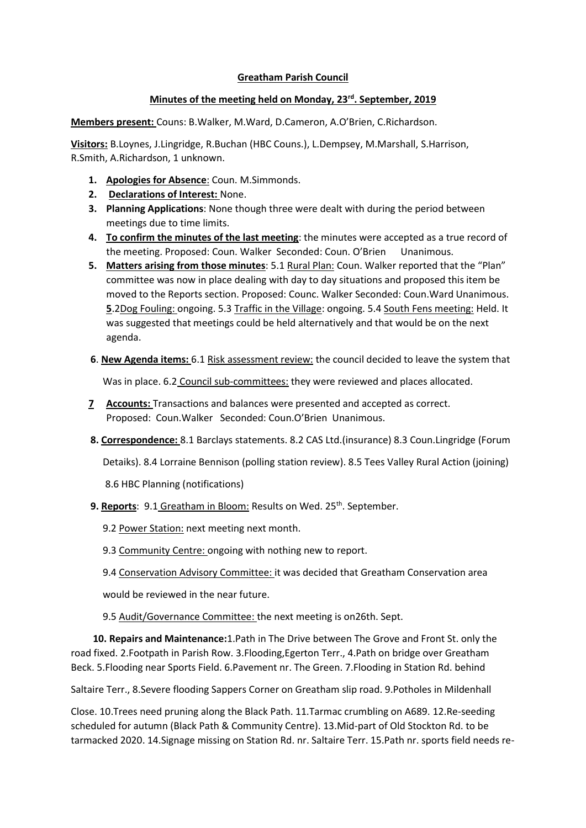## **Greatham Parish Council**

## **Minutes of the meeting held on Monday, 23rd. September, 2019**

**Members present:** Couns: B.Walker, M.Ward, D.Cameron, A.O'Brien, C.Richardson.

**Visitors:** B.Loynes, J.Lingridge, R.Buchan (HBC Couns.), L.Dempsey, M.Marshall, S.Harrison, R.Smith, A.Richardson, 1 unknown.

- **1. Apologies for Absence**: Coun. M.Simmonds.
- **2. Declarations of Interest:** None.
- **3. Planning Applications**: None though three were dealt with during the period between meetings due to time limits.
- **4. To confirm the minutes of the last meeting**: the minutes were accepted as a true record of the meeting. Proposed: Coun. Walker Seconded: Coun. O'Brien Unanimous.
- **5. Matters arising from those minutes**: 5.1 Rural Plan: Coun. Walker reported that the "Plan" committee was now in place dealing with day to day situations and proposed this item be moved to the Reports section. Proposed: Counc. Walker Seconded: Coun.Ward Unanimous. **5**.2Dog Fouling: ongoing. 5.3 Traffic in the Village: ongoing. 5.4 South Fens meeting: Held. It was suggested that meetings could be held alternatively and that would be on the next agenda.
- **6**. **New Agenda items:** 6.1 Risk assessment review: the council decided to leave the system that

Was in place. 6.2 Council sub-committees: they were reviewed and places allocated.

- **7 Accounts:** Transactions and balances were presented and accepted as correct. Proposed: Coun.Walker Seconded: Coun.O'Brien Unanimous.
- **8. Correspondence:** 8.1 Barclays statements. 8.2 CAS Ltd.(insurance) 8.3 Coun.Lingridge (Forum

Detaiks). 8.4 Lorraine Bennison (polling station review). 8.5 Tees Valley Rural Action (joining)

8.6 HBC Planning (notifications)

- **9. Reports**: 9.1 Greatham in Bloom: Results on Wed. 25<sup>th</sup>. September.
	- 9.2 Power Station: next meeting next month.
	- 9.3 Community Centre: ongoing with nothing new to report.
	- 9.4 Conservation Advisory Committee: it was decided that Greatham Conservation area

would be reviewed in the near future.

9.5 Audit/Governance Committee: the next meeting is on26th. Sept.

 **10. Repairs and Maintenance:**1.Path in The Drive between The Grove and Front St. only the road fixed. 2.Footpath in Parish Row. 3.Flooding,Egerton Terr., 4.Path on bridge over Greatham Beck. 5.Flooding near Sports Field. 6.Pavement nr. The Green. 7.Flooding in Station Rd. behind

Saltaire Terr., 8.Severe flooding Sappers Corner on Greatham slip road. 9.Potholes in Mildenhall

Close. 10.Trees need pruning along the Black Path. 11.Tarmac crumbling on A689. 12.Re-seeding scheduled for autumn (Black Path & Community Centre). 13.Mid-part of Old Stockton Rd. to be tarmacked 2020. 14.Signage missing on Station Rd. nr. Saltaire Terr. 15.Path nr. sports field needs re